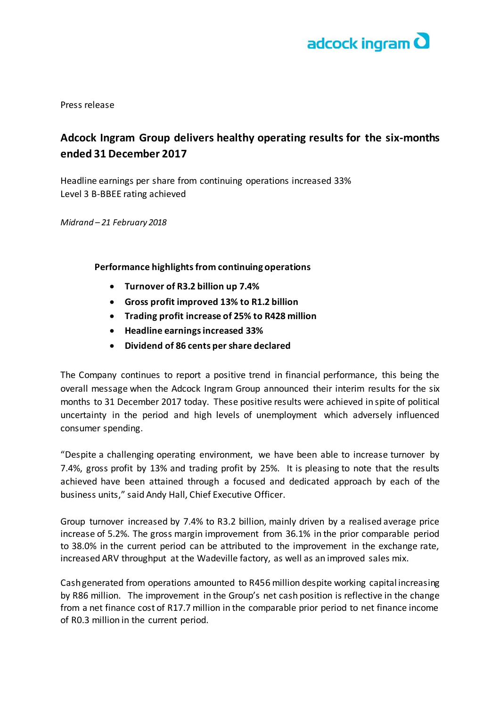

Press release

## **Adcock Ingram Group delivers healthy operating results for the six-months ended 31 December 2017**

Headline earnings per share from continuing operations increased 33% Level 3 B-BBEE rating achieved

*Midrand – 21 February 2018*

## **Performance highlights from continuing operations**

- **Turnover of R3.2 billion up 7.4%**
- **Gross profit improved 13% to R1.2 billion**
- **Trading profit increase of 25% to R428 million**
- **Headline earnings increased 33%**
- **Dividend of 86 cents per share declared**

The Company continues to report a positive trend in financial performance, this being the overall message when the Adcock Ingram Group announced their interim results for the six months to 31 December 2017 today. These positive results were achieved in spite of political uncertainty in the period and high levels of unemployment which adversely influenced consumer spending.

"Despite a challenging operating environment, we have been able to increase turnover by 7.4%, gross profit by 13% and trading profit by 25%. It is pleasing to note that the results achieved have been attained through a focused and dedicated approach by each of the business units," said Andy Hall, Chief Executive Officer.

Group turnover increased by 7.4% to R3.2 billion, mainly driven by a realised average price increase of 5.2%. The gross margin improvement from 36.1% in the prior comparable period to 38.0% in the current period can be attributed to the improvement in the exchange rate, increased ARV throughput at the Wadeville factory, as well as an improved sales mix.

Cash generated from operations amounted to R456 million despite working capital increasing by R86 million. The improvement in the Group's net cash position is reflective in the change from a net finance cost of R17.7 million in the comparable prior period to net finance income of R0.3 million in the current period.